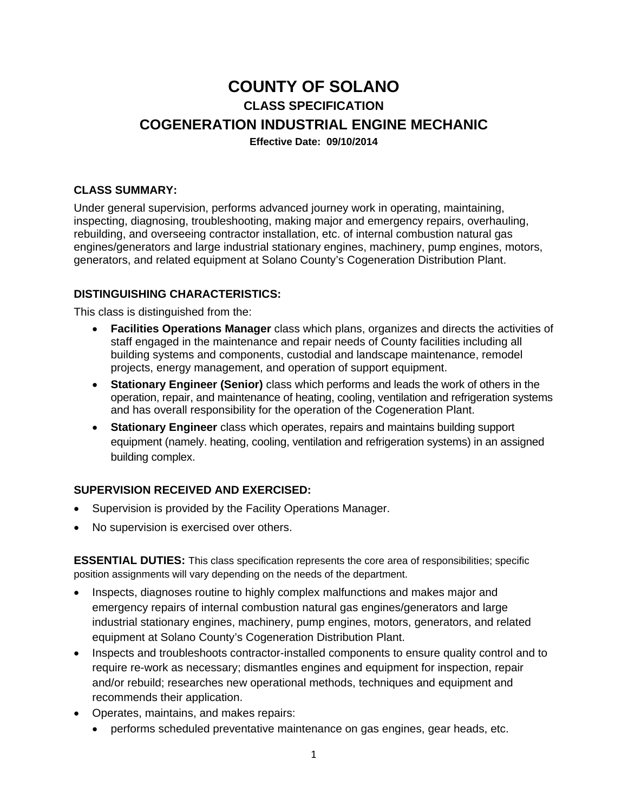# **COUNTY OF SOLANO CLASS SPECIFICATION COGENERATION INDUSTRIAL ENGINE MECHANIC Effective Date: 09/10/2014**

## **CLASS SUMMARY:**

Under general supervision, performs advanced journey work in operating, maintaining, inspecting, diagnosing, troubleshooting, making major and emergency repairs, overhauling, rebuilding, and overseeing contractor installation, etc. of internal combustion natural gas engines/generators and large industrial stationary engines, machinery, pump engines, motors, generators, and related equipment at Solano County's Cogeneration Distribution Plant.

#### **DISTINGUISHING CHARACTERISTICS:**

This class is distinguished from the:

- **Facilities Operations Manager** class which plans, organizes and directs the activities of staff engaged in the maintenance and repair needs of County facilities including all building systems and components, custodial and landscape maintenance, remodel projects, energy management, and operation of support equipment.
- **Stationary Engineer (Senior)** class which performs and leads the work of others in the operation, repair, and maintenance of heating, cooling, ventilation and refrigeration systems and has overall responsibility for the operation of the Cogeneration Plant.
- **Stationary Engineer** class which operates, repairs and maintains building support equipment (namely. heating, cooling, ventilation and refrigeration systems) in an assigned building complex.

#### **SUPERVISION RECEIVED AND EXERCISED:**

- Supervision is provided by the Facility Operations Manager.
- No supervision is exercised over others.

**ESSENTIAL DUTIES:** This class specification represents the core area of responsibilities; specific position assignments will vary depending on the needs of the department.

- Inspects, diagnoses routine to highly complex malfunctions and makes major and emergency repairs of internal combustion natural gas engines/generators and large industrial stationary engines, machinery, pump engines, motors, generators, and related equipment at Solano County's Cogeneration Distribution Plant.
- Inspects and troubleshoots contractor-installed components to ensure quality control and to require re-work as necessary; dismantles engines and equipment for inspection, repair and/or rebuild; researches new operational methods, techniques and equipment and recommends their application.
- Operates, maintains, and makes repairs:
	- performs scheduled preventative maintenance on gas engines, gear heads, etc.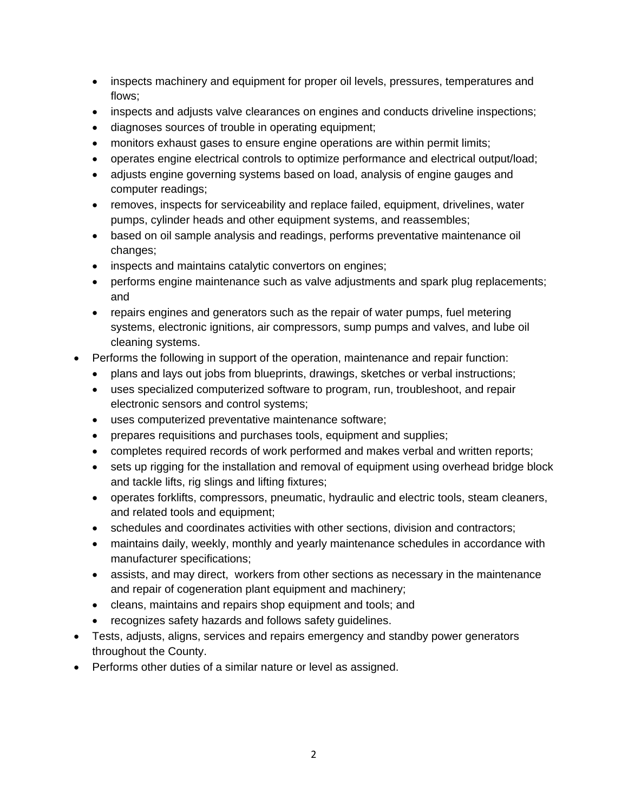- inspects machinery and equipment for proper oil levels, pressures, temperatures and flows;
- inspects and adjusts valve clearances on engines and conducts driveline inspections;
- diagnoses sources of trouble in operating equipment;
- monitors exhaust gases to ensure engine operations are within permit limits;
- operates engine electrical controls to optimize performance and electrical output/load;
- adjusts engine governing systems based on load, analysis of engine gauges and computer readings;
- removes, inspects for serviceability and replace failed, equipment, drivelines, water pumps, cylinder heads and other equipment systems, and reassembles;
- based on oil sample analysis and readings, performs preventative maintenance oil changes;
- inspects and maintains catalytic convertors on engines;
- performs engine maintenance such as valve adjustments and spark plug replacements; and
- repairs engines and generators such as the repair of water pumps, fuel metering systems, electronic ignitions, air compressors, sump pumps and valves, and lube oil cleaning systems.
- Performs the following in support of the operation, maintenance and repair function:
	- plans and lays out jobs from blueprints, drawings, sketches or verbal instructions;
	- uses specialized computerized software to program, run, troubleshoot, and repair electronic sensors and control systems;
	- uses computerized preventative maintenance software;
	- prepares requisitions and purchases tools, equipment and supplies;
	- completes required records of work performed and makes verbal and written reports;
	- sets up rigging for the installation and removal of equipment using overhead bridge block and tackle lifts, rig slings and lifting fixtures;
	- operates forklifts, compressors, pneumatic, hydraulic and electric tools, steam cleaners, and related tools and equipment;
	- schedules and coordinates activities with other sections, division and contractors;
	- maintains daily, weekly, monthly and yearly maintenance schedules in accordance with manufacturer specifications;
	- assists, and may direct, workers from other sections as necessary in the maintenance and repair of cogeneration plant equipment and machinery;
	- cleans, maintains and repairs shop equipment and tools; and
	- recognizes safety hazards and follows safety guidelines.
- Tests, adjusts, aligns, services and repairs emergency and standby power generators throughout the County.
- Performs other duties of a similar nature or level as assigned.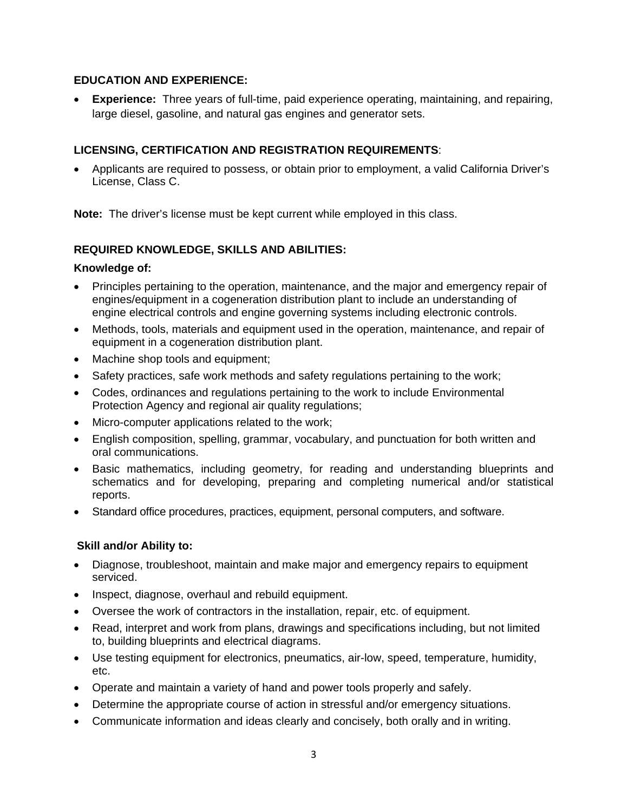## **EDUCATION AND EXPERIENCE:**

 **Experience:** Three years of full-time, paid experience operating, maintaining, and repairing, large diesel, gasoline, and natural gas engines and generator sets.

## **LICENSING, CERTIFICATION AND REGISTRATION REQUIREMENTS**:

 Applicants are required to possess, or obtain prior to employment, a valid California Driver's License, Class C.

**Note:** The driver's license must be kept current while employed in this class.

## **REQUIRED KNOWLEDGE, SKILLS AND ABILITIES:**

#### **Knowledge of:**

- Principles pertaining to the operation, maintenance, and the major and emergency repair of engines/equipment in a cogeneration distribution plant to include an understanding of engine electrical controls and engine governing systems including electronic controls.
- Methods, tools, materials and equipment used in the operation, maintenance, and repair of equipment in a cogeneration distribution plant.
- Machine shop tools and equipment;
- Safety practices, safe work methods and safety regulations pertaining to the work;
- Codes, ordinances and regulations pertaining to the work to include Environmental Protection Agency and regional air quality regulations;
- Micro-computer applications related to the work;
- English composition, spelling, grammar, vocabulary, and punctuation for both written and oral communications.
- Basic mathematics, including geometry, for reading and understanding blueprints and schematics and for developing, preparing and completing numerical and/or statistical reports.
- Standard office procedures, practices, equipment, personal computers, and software.

## **Skill and/or Ability to:**

- Diagnose, troubleshoot, maintain and make major and emergency repairs to equipment serviced.
- Inspect, diagnose, overhaul and rebuild equipment.
- Oversee the work of contractors in the installation, repair, etc. of equipment.
- Read, interpret and work from plans, drawings and specifications including, but not limited to, building blueprints and electrical diagrams.
- Use testing equipment for electronics, pneumatics, air-low, speed, temperature, humidity, etc.
- Operate and maintain a variety of hand and power tools properly and safely.
- Determine the appropriate course of action in stressful and/or emergency situations.
- Communicate information and ideas clearly and concisely, both orally and in writing.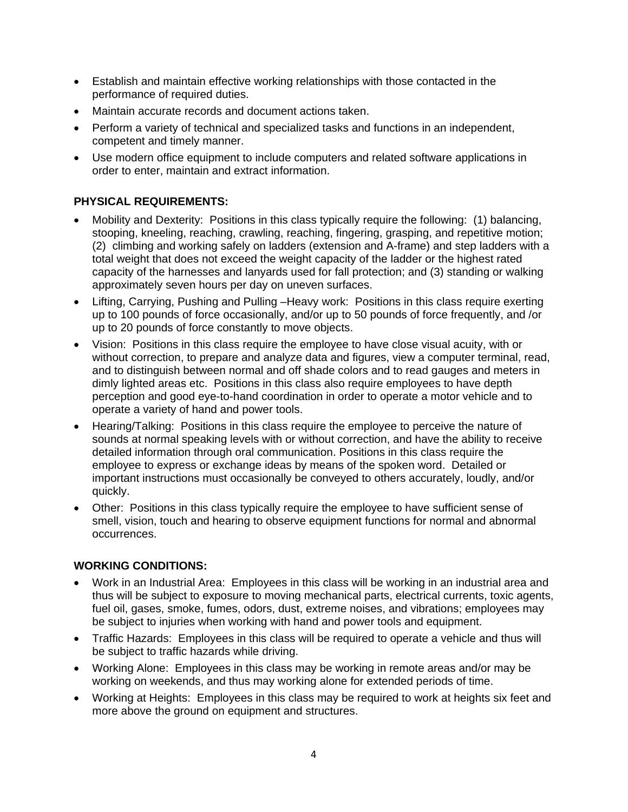- Establish and maintain effective working relationships with those contacted in the performance of required duties.
- Maintain accurate records and document actions taken.
- Perform a variety of technical and specialized tasks and functions in an independent, competent and timely manner.
- Use modern office equipment to include computers and related software applications in order to enter, maintain and extract information.

## **PHYSICAL REQUIREMENTS:**

- Mobility and Dexterity: Positions in this class typically require the following: (1) balancing, stooping, kneeling, reaching, crawling, reaching, fingering, grasping, and repetitive motion; (2) climbing and working safely on ladders (extension and A-frame) and step ladders with a total weight that does not exceed the weight capacity of the ladder or the highest rated capacity of the harnesses and lanyards used for fall protection; and (3) standing or walking approximately seven hours per day on uneven surfaces.
- Lifting, Carrying, Pushing and Pulling –Heavy work: Positions in this class require exerting up to 100 pounds of force occasionally, and/or up to 50 pounds of force frequently, and /or up to 20 pounds of force constantly to move objects.
- Vision: Positions in this class require the employee to have close visual acuity, with or without correction, to prepare and analyze data and figures, view a computer terminal, read, and to distinguish between normal and off shade colors and to read gauges and meters in dimly lighted areas etc. Positions in this class also require employees to have depth perception and good eye-to-hand coordination in order to operate a motor vehicle and to operate a variety of hand and power tools.
- Hearing/Talking: Positions in this class require the employee to perceive the nature of sounds at normal speaking levels with or without correction, and have the ability to receive detailed information through oral communication. Positions in this class require the employee to express or exchange ideas by means of the spoken word. Detailed or important instructions must occasionally be conveyed to others accurately, loudly, and/or quickly.
- Other: Positions in this class typically require the employee to have sufficient sense of smell, vision, touch and hearing to observe equipment functions for normal and abnormal occurrences.

## **WORKING CONDITIONS:**

- Work in an Industrial Area: Employees in this class will be working in an industrial area and thus will be subject to exposure to moving mechanical parts, electrical currents, toxic agents, fuel oil, gases, smoke, fumes, odors, dust, extreme noises, and vibrations; employees may be subject to injuries when working with hand and power tools and equipment.
- Traffic Hazards: Employees in this class will be required to operate a vehicle and thus will be subject to traffic hazards while driving.
- Working Alone: Employees in this class may be working in remote areas and/or may be working on weekends, and thus may working alone for extended periods of time.
- Working at Heights: Employees in this class may be required to work at heights six feet and more above the ground on equipment and structures.